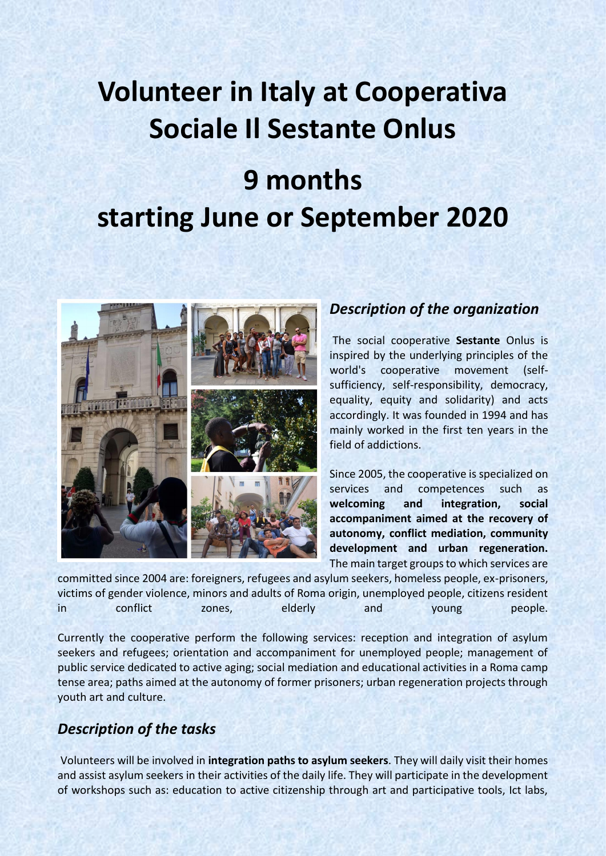# **Volunteer in Italy at Cooperativa Sociale Il Sestante Onlus**

# **9 months starting June or September 2020**



#### *Description of the organization*

The social cooperative **Sestante** Onlus is inspired by the underlying principles of the world's cooperative movement (selfsufficiency, self-responsibility, democracy, equality, equity and solidarity) and acts accordingly. It was founded in 1994 and has mainly worked in the first ten years in the field of addictions.

Since 2005, the cooperative is specialized on services and competences such as **welcoming and integration, social accompaniment aimed at the recovery of autonomy, conflict mediation, community development and urban regeneration.** The main target groups to which services are

committed since 2004 are: foreigners, refugees and asylum seekers, homeless people, ex-prisoners, victims of gender violence, minors and adults of Roma origin, unemployed people, citizens resident in conflict zones, elderly and young people.

Currently the cooperative perform the following services: reception and integration of asylum seekers and refugees; orientation and accompaniment for unemployed people; management of public service dedicated to active aging; social mediation and educational activities in a Roma camp tense area; paths aimed at the autonomy of former prisoners; urban regeneration projects through youth art and culture.

# *Description of the tasks*

Volunteers will be involved in **integration paths to asylum seekers**. They will daily visit their homes and assist asylum seekers in their activities of the daily life. They will participate in the development of workshops such as: education to active citizenship through art and participative tools, Ict labs,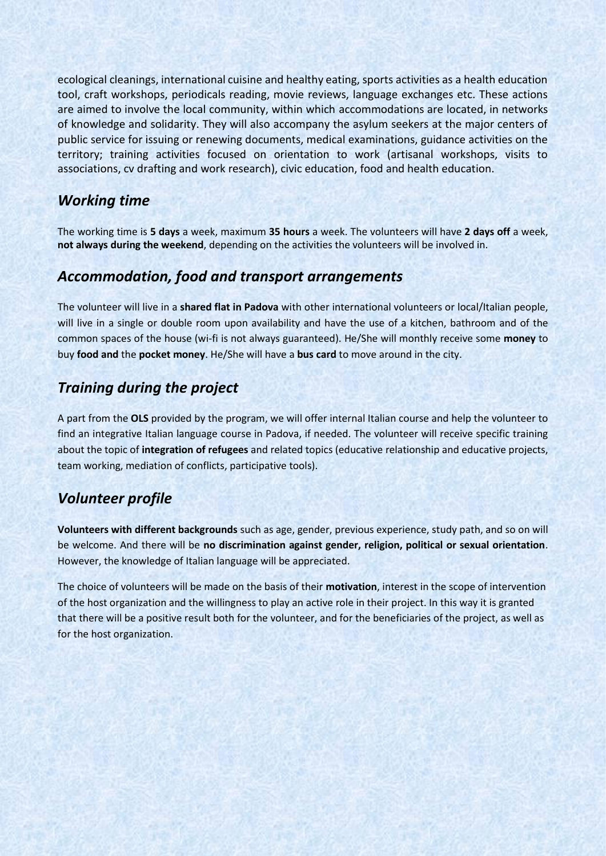ecological cleanings, international cuisine and healthy eating, sports activities as a health education tool, craft workshops, periodicals reading, movie reviews, language exchanges etc. These actions are aimed to involve the local community, within which accommodations are located, in networks of knowledge and solidarity. They will also accompany the asylum seekers at the major centers of public service for issuing or renewing documents, medical examinations, guidance activities on the territory; training activities focused on orientation to work (artisanal workshops, visits to associations, cv drafting and work research), civic education, food and health education.

#### *Working time*

The working time is **5 days** a week, maximum **35 hours** a week. The volunteers will have **2 days off** a week, **not always during the weekend**, depending on the activities the volunteers will be involved in.

#### *Accommodation, food and transport arrangements*

The volunteer will live in a **shared flat in Padova** with other international volunteers or local/Italian people, will live in a single or double room upon availability and have the use of a kitchen, bathroom and of the common spaces of the house (wi-fi is not always guaranteed). He/She will monthly receive some **money** to buy **food and** the **pocket money**. He/She will have a **bus card** to move around in the city.

### *Training during the project*

A part from the **OLS** provided by the program, we will offer internal Italian course and help the volunteer to find an integrative Italian language course in Padova, if needed. The volunteer will receive specific training about the topic of **integration of refugees** and related topics (educative relationship and educative projects, team working, mediation of conflicts, participative tools).

# *Volunteer profile*

**Volunteers with different backgrounds** such as age, gender, previous experience, study path, and so on will be welcome. And there will be **no discrimination against gender, religion, political or sexual orientation**. However, the knowledge of Italian language will be appreciated.

The choice of volunteers will be made on the basis of their **motivation**, interest in the scope of intervention of the host organization and the willingness to play an active role in their project. In this way it is granted that there will be a positive result both for the volunteer, and for the beneficiaries of the project, as well as for the host organization.